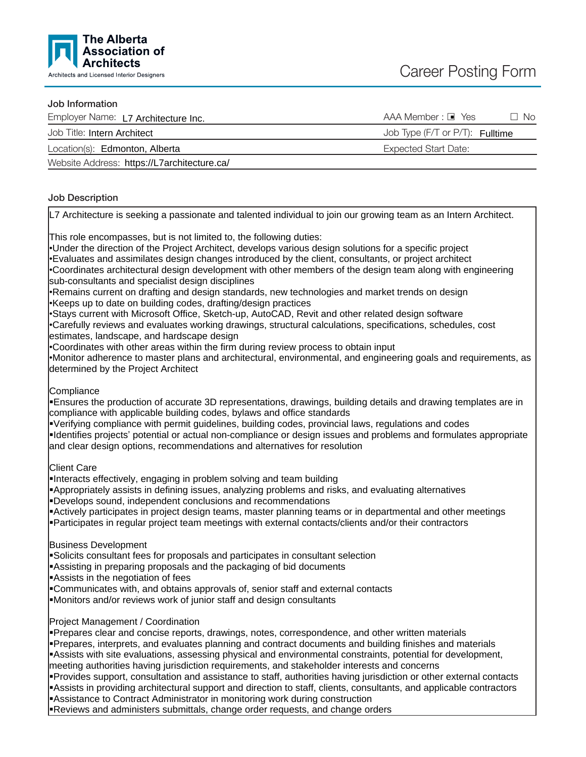

# Job Information

| Employer Name: L7 Architecture Inc.         | AAA Member : □ Yes<br>∩ No             |
|---------------------------------------------|----------------------------------------|
| Job Title: Intern Architect                 | Job Type (F/T or P/T): <b>Fulltime</b> |
| Location(s): Edmonton, Alberta              | Expected Start Date:                   |
| Website Address: https://L7architecture.ca/ |                                        |

# Job Description

L7 Architecture is seeking a passionate and talented individual to join our growing team as an Intern Architect.

This role encompasses, but is not limited to, the following duties:

•Under the direction of the Project Architect, develops various design solutions for a specific project •Evaluates and assimilates design changes introduced by the client, consultants, or project architect •Coordinates architectural design development with other members of the design team along with engineering sub-consultants and specialist design disciplines

•Remains current on drafting and design standards, new technologies and market trends on design •Keeps up to date on building codes, drafting/design practices

•Stays current with Microsoft Office, Sketch-up, AutoCAD, Revit and other related design software

•Carefully reviews and evaluates working drawings, structural calculations, specifications, schedules, cost estimates, landscape, and hardscape design

•Coordinates with other areas within the firm during review process to obtain input

•Monitor adherence to master plans and architectural, environmental, and engineering goals and requirements, as determined by the Project Architect

Compliance

ßEnsures the production of accurate 3D representations, drawings, building details and drawing templates are in compliance with applicable building codes, bylaws and office standards

ßVerifying compliance with permit guidelines, building codes, provincial laws, regulations and codes

ßIdentifies projects' potential or actual non-compliance or design issues and problems and formulates appropriate and clear design options, recommendations and alternatives for resolution

Client Care

Interacts effectively, engaging in problem solving and team building

**Appropriately assists in defining issues, analyzing problems and risks, and evaluating alternatives** 

ßDevelops sound, independent conclusions and recommendations

ßActively participates in project design teams, master planning teams or in departmental and other meetings

Participates in regular project team meetings with external contacts/clients and/or their contractors

Business Development

Solicits consultant fees for proposals and participates in consultant selection

ßAssisting in preparing proposals and the packaging of bid documents

Assists in the negotiation of fees

ßCommunicates with, and obtains approvals of, senior staff and external contacts

ßMonitors and/or reviews work of junior staff and design consultants

Project Management / Coordination

Prepares clear and concise reports, drawings, notes, correspondence, and other written materials Pepares, interprets, and evaluates planning and contract documents and building finishes and materials

Assists with site evaluations, assessing physical and environmental constraints, potential for development,

meeting authorities having jurisdiction requirements, and stakeholder interests and concerns

Provides support, consultation and assistance to staff, authorities having jurisdiction or other external contacts Assists in providing architectural support and direction to staff, clients, consultants, and applicable contractors

**B**Assistance to Contract Administrator in monitoring work during construction

Reviews and administers submittals, change order requests, and change orders